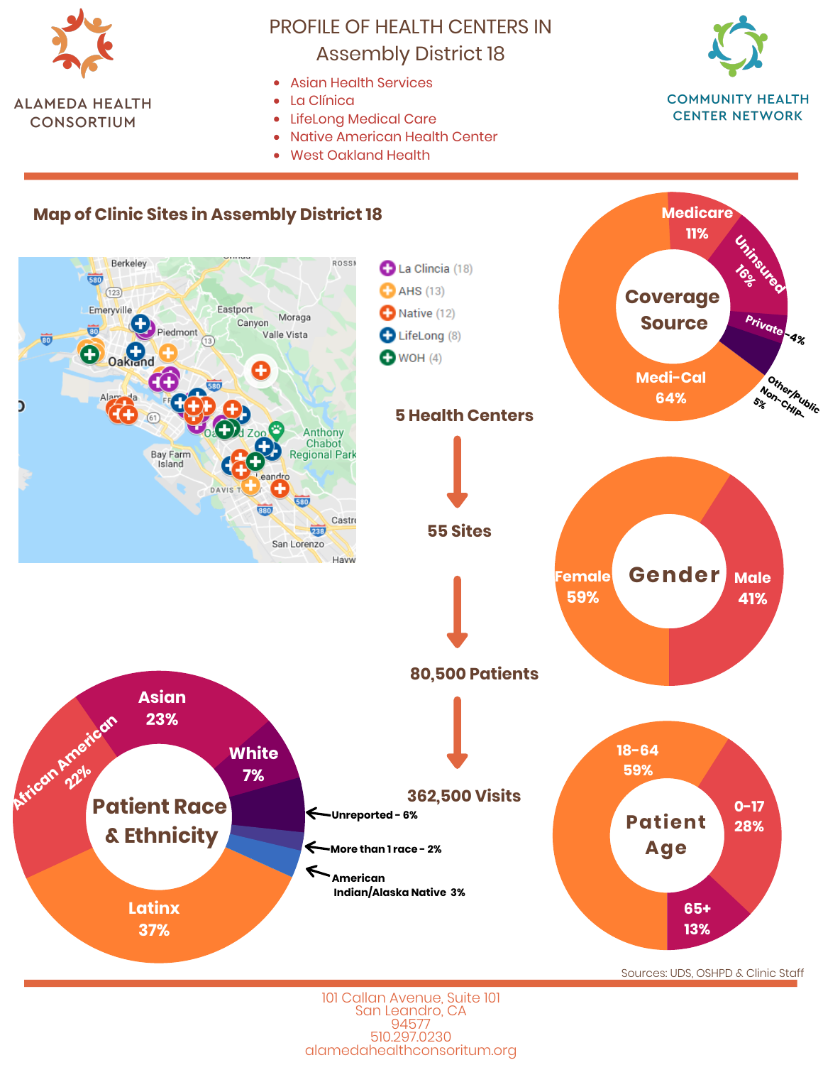

# PROFILE OF HEALTH CENTERS IN Assembly District 18

- Asian Health Services
- La Clínica
- LifeLong Medical Care
- Native American Health Center  $\bullet$
- West Oakland Health



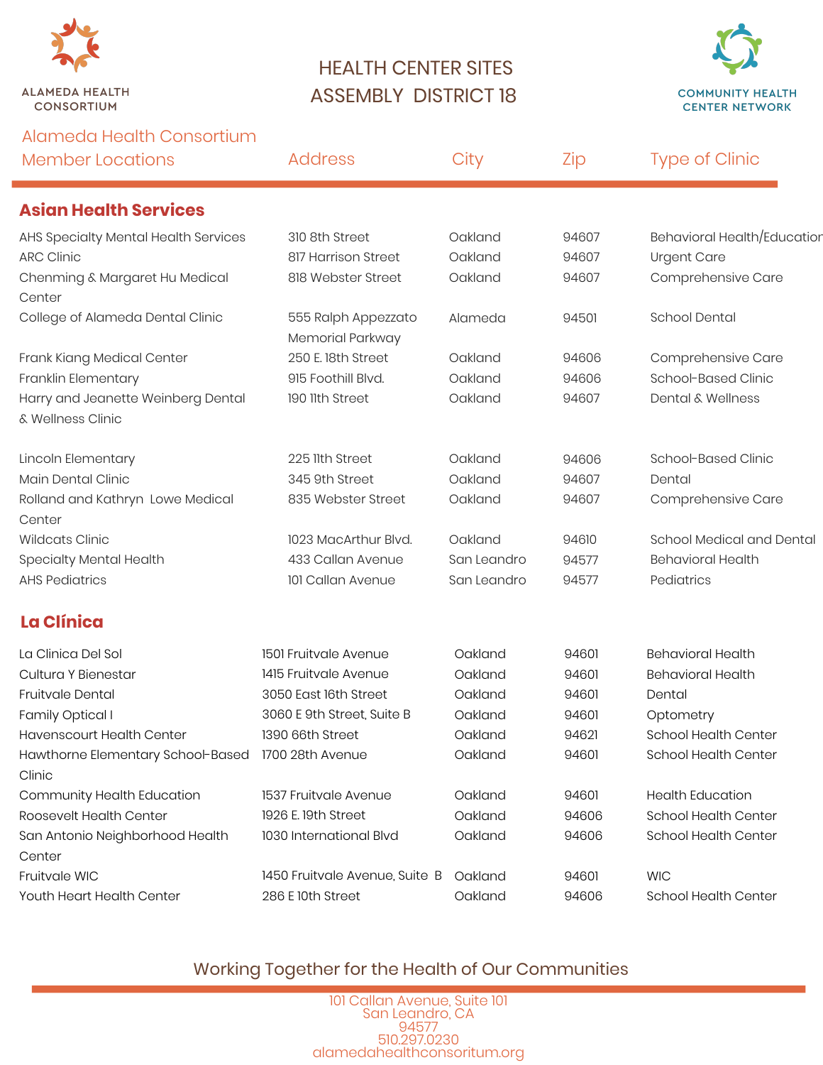

## HEALTH CENTER SITES ASSEMBLY DISTRICT 18



| Alameda Health Consortium<br><b>Member Locations</b>    | <b>Address</b>                          | City        | Zip   | <b>Type of Clinic</b>        |
|---------------------------------------------------------|-----------------------------------------|-------------|-------|------------------------------|
| <b>Asian Health Services</b>                            |                                         |             |       |                              |
| AHS Specialty Mental Health Services                    | 310 8th Street                          | Oakland     | 94607 | Behavioral Health/Education  |
| <b>ARC Clinic</b>                                       | 817 Harrison Street                     | Oakland     | 94607 | <b>Urgent Care</b>           |
| Chenming & Margaret Hu Medical<br>Center                | 818 Webster Street                      | Oakland     | 94607 | Comprehensive Care           |
| College of Alameda Dental Clinic                        | 555 Ralph Appezzato<br>Memorial Parkway | Alameda     | 94501 | <b>School Dental</b>         |
| Frank Kiang Medical Center                              | 250 E. 18th Street                      | Oakland     | 94606 | Comprehensive Care           |
| Franklin Elementary                                     | 915 Foothill Blvd.                      | Oakland     | 94606 | School-Based Clinic          |
| Harry and Jeanette Weinberg Dental<br>& Wellness Clinic | 190 11th Street                         | Oakland     | 94607 | <b>Dental &amp; Wellness</b> |
| Lincoln Elementary                                      | 225 llth Street                         | Oakland     | 94606 | School-Based Clinic          |
| Main Dental Clinic                                      | 345 9th Street                          | Oakland     | 94607 | Dental                       |
| Rolland and Kathryn Lowe Medical<br>Center              | 835 Webster Street                      | Oakland     | 94607 | Comprehensive Care           |
| <b>Wildcats Clinic</b>                                  | 1023 MacArthur Blvd.                    | Oakland     | 94610 | School Medical and Dental    |
| Specialty Mental Health                                 | 433 Callan Avenue                       | San Leandro | 94577 | <b>Behavioral Health</b>     |
| <b>AHS Pediatrics</b>                                   | 101 Callan Avenue                       | San Leandro | 94577 | Pediatrics                   |
| <b>La Clínica</b>                                       |                                         |             |       |                              |
| La Clinica Del Sol                                      | 1501 Fruitvale Avenue                   | Oakland     | 94601 | <b>Behavioral Health</b>     |
| Cultura Y Bienestar                                     | 1415 Fruitvale Avenue                   | Oakland     | 94601 | <b>Behavioral Health</b>     |
| Fruitvale Dental                                        | 3050 East 16th Street                   | Oakland     | 94601 | Dental                       |
| Family Optical I                                        | 3060 E 9th Street, Suite B              | Oakland     | 94601 | Optometry                    |
| Havenscourt Health Center                               | 1390 66th Street                        | Oakland     | 94621 | School Health Center         |
| Hawthorne Elementary School-Based<br>Clinic             | 1700 28th Avenue                        | Oakland     | 94601 | <b>School Health Center</b>  |
| Community Health Education                              | 1537 Fruitvale Avenue                   | Oakland     | 94601 | <b>Health Education</b>      |
| Roosevelt Health Center                                 | 1926 E. 19th Street                     | Oakland     | 94606 | School Health Center         |
| San Antonio Neighborhood Health<br>Center               | 1030 International Blvd                 | Oakland     | 94606 | School Health Center         |
| Fruitvale WIC                                           | 1450 Fruitvale Avenue, Suite B          | Oakland     | 94601 | <b>WIC</b>                   |
| Youth Heart Health Center                               | 286 E 10th Street                       | Oakland     | 94606 | School Health Center         |

#### Working Together for the Health of Our Communities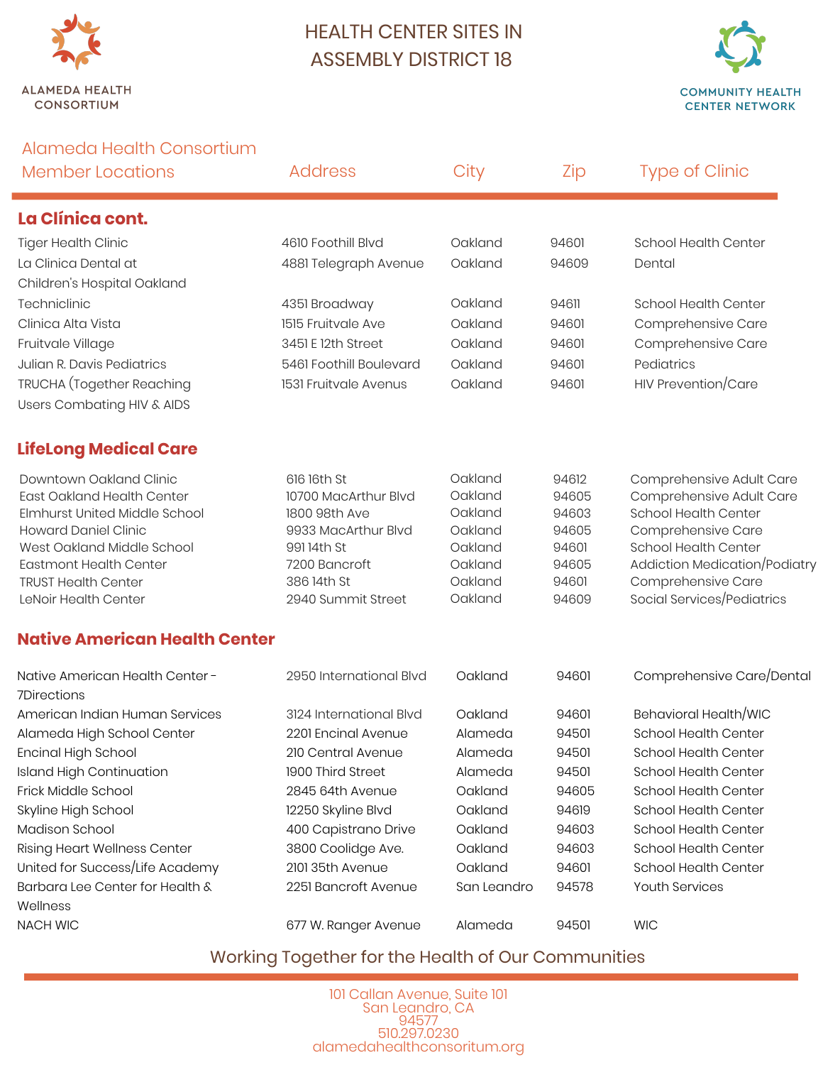

### HEALTH CENTER SITES IN ASSEMBLY DISTRICT 18



| Alameda Health Consortium                                   |                              |                    |                |                                                     |
|-------------------------------------------------------------|------------------------------|--------------------|----------------|-----------------------------------------------------|
| <b>Member Locations</b>                                     | <b>Address</b>               | City               | Zip            | <b>Type of Clinic</b>                               |
| La Clínica cont.                                            |                              |                    |                |                                                     |
| <b>Tiger Health Clinic</b>                                  | 4610 Foothill Blvd           | Oakland            | 94601          | <b>School Health Center</b>                         |
| La Clinica Dental at                                        | 4881 Telegraph Avenue        | Oakland            | 94609          | Dental                                              |
| Children's Hospital Oakland                                 |                              |                    |                |                                                     |
| Techniclinic                                                | 4351 Broadway                | Oakland            | 94611          | School Health Center                                |
| Clinica Alta Vista                                          | 1515 Fruitvale Ave           | Oakland            | 94601          | Comprehensive Care                                  |
| Fruitvale Village                                           | 3451 E 12th Street           | Oakland            | 94601          | Comprehensive Care                                  |
| Julian R. Davis Pediatrics                                  | 5461 Foothill Boulevard      | Oakland            | 94601          | Pediatrics                                          |
| TRUCHA (Together Reaching                                   | 1531 Fruitvale Avenus        | Oakland            | 94601          | HIV Prevention/Care                                 |
| Users Combating HIV & AIDS                                  |                              |                    |                |                                                     |
| <b>LifeLong Medical Care</b>                                |                              |                    |                |                                                     |
| Downtown Oakland Clinic                                     | 616 16th St                  | Oakland            | 94612          | Comprehensive Adult Care                            |
| <b>East Oakland Health Center</b>                           | 10700 MacArthur Blvd         | Oakland            | 94605          | Comprehensive Adult Care                            |
| Elmhurst United Middle School                               | 1800 98th Ave                | Oakland            | 94603          | School Health Center                                |
| <b>Howard Daniel Clinic</b>                                 | 9933 MacArthur Blvd          | Oakland            | 94605          | Comprehensive Care                                  |
| West Oakland Middle School                                  | 991 14th St                  | Oakland            | 94601          | School Health Center                                |
| <b>Eastmont Health Center</b><br><b>TRUST Health Center</b> | 7200 Bancroft<br>386 14th St | Oakland<br>Oakland | 94605<br>94601 | Addiction Medication/Podiatry<br>Comprehensive Care |
| LeNoir Health Center                                        | 2940 Summit Street           | Oakland            | 94609          | Social Services/Pediatrics                          |
| <b>Native American Health Center</b>                        |                              |                    |                |                                                     |
| Native American Health Center-<br>7Directions               | 2950 International Blvd      | Oakland            | 94601          | Comprehensive Care/Dental                           |
| American Indian Human Services                              | 3124 International Blvd      | Oakland            | 94601          | Behavioral Health/WIC                               |
| Alameda High School Center                                  | 2201 Encinal Avenue          | Alameda            | 94501          | School Health Center                                |
| Encinal High School                                         | 210 Central Avenue           | Alameda            | 94501          | School Health Center                                |
| <b>Island High Continuation</b>                             | 1900 Third Street            | Alameda            | 94501          | School Health Center                                |
| Frick Middle School                                         | 2845 64th Avenue             | Oakland            | 94605          | School Health Center                                |
| Skyline High School                                         | 12250 Skyline Blvd           | Oakland            | 94619          | School Health Center                                |
| Madison School                                              | 400 Capistrano Drive         | Oakland            | 94603          | School Health Center                                |
| <b>Rising Heart Wellness Center</b>                         | 3800 Coolidge Ave.           | Oakland            | 94603          | School Health Center                                |
| United for Success/Life Academy                             | 2101 35th Avenue             | Oakland            | 94601          | School Health Center                                |
| Barbara Lee Center for Health &<br>Wellness                 | 2251 Bancroft Avenue         | San Leandro        | 94578          | Youth Services                                      |
| <b>NACH WIC</b>                                             | 677 W. Ranger Avenue         | Alameda            | 94501          | <b>WIC</b>                                          |

#### Working Together for the Health of Our Communities